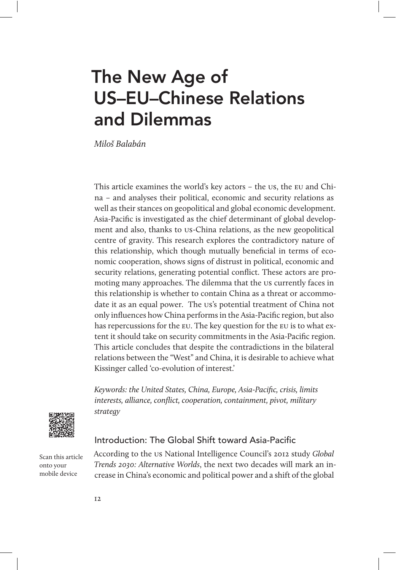# The New Age of US–EU–Chinese Relations and Dilemmas

Miloš Balabán

This article examines the world's key actors – the us, the eu and China – and analyses their political, economic and security relations as well as their stances on geopolitical and global economic development. Asia-Pacific is investigated as the chief determinant of global development and also, thanks to us-China relations, as the new geopolitical centre of gravity. This research explores the contradictory nature of this relationship, which though mutually beneficial in terms of economic cooperation, shows signs of distrust in political, economic and security relations, generating potential conflict. These actors are promoting many approaches. The dilemma that the us currently faces in this relationship is whether to contain China as a threat or accommodate it as an equal power. The us's potential treatment of China not only influences how China performs in the Asia-Pacific region, but also has repercussions for the eu. The key question for the eu is to what extent it should take on security commitments in the Asia-Pacific region. This article concludes that despite the contradictions in the bilateral relations between the "West" and China, it is desirable to achieve what Kissinger called 'co-evolution of interest.'

Keywords: the United States, China, Europe, Asia-Pacific, crisis, limits interests, alliance, conflict, cooperation, containment, pivot, military strategy



## Introduction: The Global Shift toward Asia-Pacific

Scan this article onto your mobile device

According to the us National Intelligence Council's 2012 study Global Trends 2030: Alternative Worlds, the next two decades will mark an increase in China's economic and political power and a shift of the global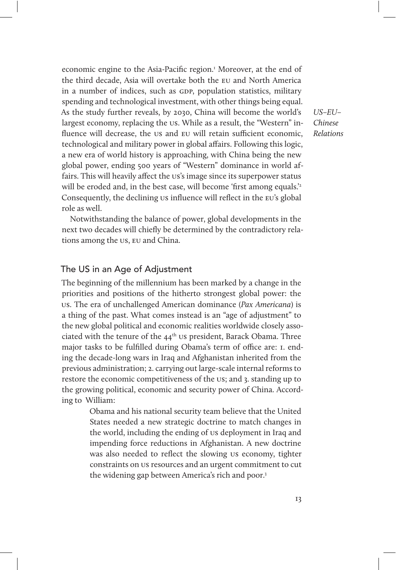economic engine to the Asia-Pacific region.<sup>1</sup> Moreover, at the end of the third decade, Asia will overtake both the eu and North America in a number of indices, such as GDP, population statistics, military spending and technological investment, with other things being equal. As the study further reveals, by 2030, China will become the world's largest economy, replacing the us. While as a result, the "Western" influence will decrease, the us and EU will retain sufficient economic, technological and military power in global affairs. Following this logic, a new era of world history is approaching, with China being the new global power, ending 500 years of "Western" dominance in world affairs. This will heavily affect the us's image since its superpower status will be eroded and, in the best case, will become 'first among equals.'<sup>2</sup> Consequently, the declining us influence will reflect in the eu's global role as well.

Notwithstanding the balance of power, global developments in the next two decades will chiefly be determined by the contradictory relations among the us, eu and China.

## The US in an Age of Adjustment

The beginning of the millennium has been marked by a change in the priorities and positions of the hitherto strongest global power: the us. The era of unchallenged American dominance (Pax Americana) is a thing of the past. What comes instead is an "age of adjustment" to the new global political and economic realities worldwide closely associated with the tenure of the  $44<sup>th</sup>$  us president, Barack Obama. Three major tasks to be fulfilled during Obama's term of office are: I. ending the decade-long wars in Iraq and Afghanistan inherited from the previous administration; 2. carrying out large-scale internal reforms to restore the economic competitiveness of the us; and 3. standing up to the growing political, economic and security power of China. According to William:

> Obama and his national security team believe that the United States needed a new strategic doctrine to match changes in the world, including the ending of us deployment in Iraq and impending force reductions in Afghanistan. A new doctrine was also needed to reflect the slowing us economy, tighter constraints on us resources and an urgent commitment to cut the widening gap between America's rich and poor.<sup>3</sup>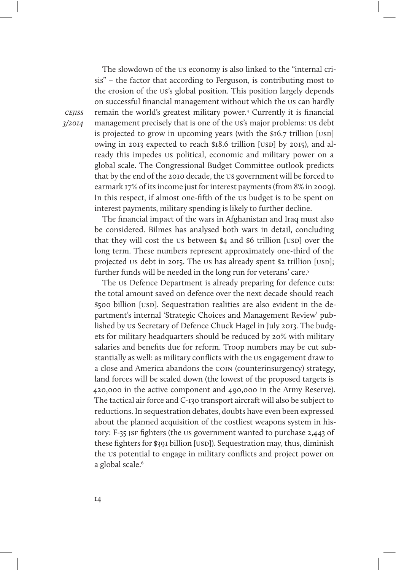The slowdown of the us economy is also linked to the "internal crisis" – the factor that according to Ferguson, is contributing most to the erosion of the us's global position. This position largely depends on successful financial management without which the us can hardly remain the world's greatest military power.4 Currently it is financial management precisely that is one of the us's major problems: us debt is projected to grow in upcoming years (with the  $$16.7$  trillion [USD] owing in 2013 expected to reach \$18.6 trillion [USD] by 2015), and already this impedes us political, economic and military power on a global scale. The Congressional Budget Committee outlook predicts that by the end of the 2010 decade, the us government will be forced to earmark 17% of its income just for interest payments (from 8% in 2009). In this respect, if almost one-fifth of the us budget is to be spent on interest payments, military spending is likely to further decline.

The financial impact of the wars in Afghanistan and Iraq must also be considered. Bilmes has analysed both wars in detail, concluding that they will cost the us between  $$4$  and  $$6$  trillion [usp] over the long term. These numbers represent approximately one-third of the projected us debt in 2015. The us has already spent \$2 trillion [USD]; further funds will be needed in the long run for veterans' care.<sup>5</sup>

The us Defence Department is already preparing for defence cuts: the total amount saved on defence over the next decade should reach \$500 billion [USD]. Sequestration realities are also evident in the department's internal 'Strategic Choices and Management Review' published by us Secretary of Defence Chuck Hagel in July 2013. The budgets for military headquarters should be reduced by 20% with military salaries and benefits due for reform. Troop numbers may be cut substantially as well: as military conflicts with the us engagement draw to a close and America abandons the coin (counterinsurgency) strategy, land forces will be scaled down (the lowest of the proposed targets is 420,000 in the active component and 490,000 in the Army Reserve). The tactical air force and C-130 transport aircraft will also be subject to reductions. In sequestration debates, doubts have even been expressed about the planned acquisition of the costliest weapons system in history: F-35 JSF fighters (the US government wanted to purchase 2,443 of these fighters for \$391 billion [USD]). Sequestration may, thus, diminish the us potential to engage in military conflicts and project power on a global scale.<sup>6</sup>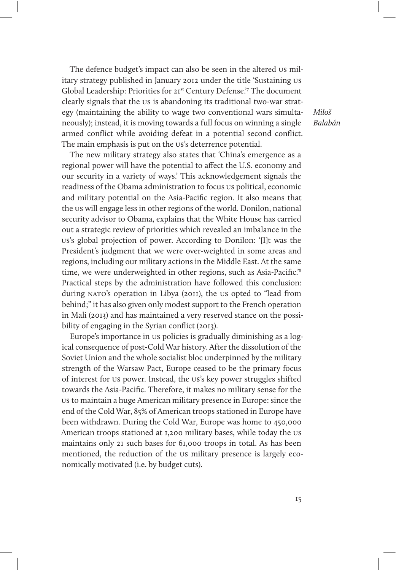The defence budget's impact can also be seen in the altered us military strategy published in January 2012 under the title 'Sustaining us Global Leadership: Priorities for 21<sup>st</sup> Century Defense.'<sup>7</sup> The document clearly signals that the us is abandoning its traditional two-war strategy (maintaining the ability to wage two conventional wars simultaneously); instead, it is moving towards a full focus on winning a single armed conflict while avoiding defeat in a potential second conflict. The main emphasis is put on the us's deterrence potential.

The new military strategy also states that 'China's emergence as a regional power will have the potential to affect the U.S. economy and our security in a variety of ways.' This acknowledgement signals the readiness of the Obama administration to focus us political, economic and military potential on the Asia-Pacific region. It also means that the us will engage less in other regions of the world. Donilon, national security advisor to Obama, explains that the White House has carried out a strategic review of priorities which revealed an imbalance in the us's global projection of power. According to Donilon: '[I]t was the President's judgment that we were over-weighted in some areas and regions, including our military actions in the Middle East. At the same time, we were underweighted in other regions, such as Asia-Pacific.'8 Practical steps by the administration have followed this conclusion: during nato's operation in Libya (2011), the us opted to "lead from behind;" it has also given only modest support to the French operation in Mali (2013) and has maintained a very reserved stance on the possibility of engaging in the Syrian conflict (2013).

Europe's importance in us policies is gradually diminishing as a logical consequence of post-Cold War history. After the dissolution of the Soviet Union and the whole socialist bloc underpinned by the military strength of the Warsaw Pact, Europe ceased to be the primary focus of interest for us power. Instead, the us's key power struggles shifted towards the Asia-Pacific. Therefore, it makes no military sense for the us to maintain a huge American military presence in Europe: since the end of the Cold War, 85% of American troops stationed in Europe have been withdrawn. During the Cold War, Europe was home to 450,000 American troops stationed at 1,200 military bases, while today the us maintains only 21 such bases for 61,000 troops in total. As has been mentioned, the reduction of the us military presence is largely economically motivated (i.e. by budget cuts).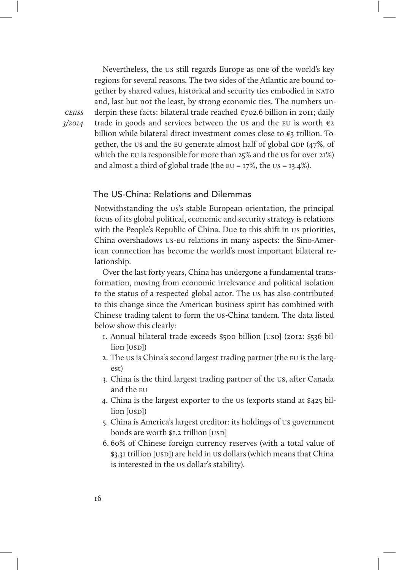Nevertheless, the us still regards Europe as one of the world's key regions for several reasons. The two sides of the Atlantic are bound together by shared values, historical and security ties embodied in nato and, last but not the least, by strong economic ties. The numbers underpin these facts: bilateral trade reached €702.6 billion in 2011; daily trade in goods and services between the us and the EU is worth  $\varepsilon_2$ billion while bilateral direct investment comes close to €3 trillion. Together, the us and the EU generate almost half of global GDP  $(47\%$ , of which the eu is responsible for more than 25% and the us for over 21%) and almost a third of global trade (the  $EU = I7\%$ , the  $US = I3.4\%$ ).

### The US-China: Relations and Dilemmas

Notwithstanding the us's stable European orientation, the principal focus of its global political, economic and security strategy is relations with the People's Republic of China. Due to this shift in us priorities, China overshadows us-eu relations in many aspects: the Sino-American connection has become the world's most important bilateral relationship.

Over the last forty years, China has undergone a fundamental transformation, moving from economic irrelevance and political isolation to the status of a respected global actor. The us has also contributed to this change since the American business spirit has combined with Chinese trading talent to form the us-China tandem. The data listed below show this clearly:

- 1. Annual bilateral trade exceeds \$500 billion [USD] (2012: \$536 billion [usp])
- 2. The us is China's second largest trading partner (the eu is the largest)
- 3. China is the third largest trading partner of the us, after Canada and the eu
- 4. China is the largest exporter to the us (exports stand at \$425 billion [usp])
- 5. China is America's largest creditor: its holdings of us government bonds are worth \$1.2 trillion [USD]
- 6. 60% of Chinese foreign currency reserves (with a total value of \$3.31 trillion [USD]) are held in us dollars (which means that China is interested in the us dollar's stability).

cejiss 3/2014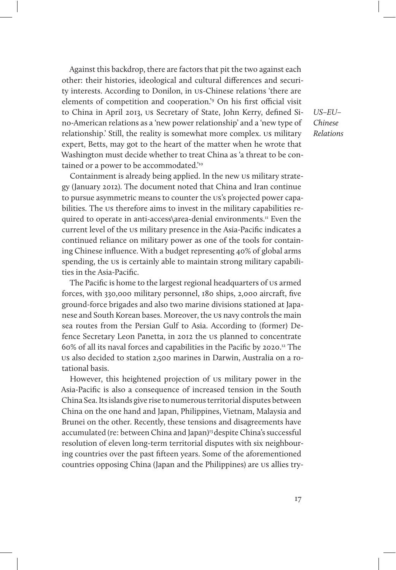Against this backdrop, there are factors that pit the two against each other: their histories, ideological and cultural differences and security interests. According to Donilon, in us-Chinese relations 'there are elements of competition and cooperation.<sup>'</sup> On his first official visit to China in April 2013, us Secretary of State, John Kerry, defined Sino-American relations as a 'new power relationship' and a 'new type of relationship.' Still, the reality is somewhat more complex. us military expert, Betts, may got to the heart of the matter when he wrote that Washington must decide whether to treat China as 'a threat to be contained or a power to be accommodated.<sup>'10</sup>

Containment is already being applied. In the new us military strategy (January 2012). The document noted that China and Iran continue to pursue asymmetric means to counter the us's projected power capabilities. The us therefore aims to invest in the military capabilities required to operate in anti-access\area-denial environments.11 Even the current level of the us military presence in the Asia-Pacific indicates a continued reliance on military power as one of the tools for containing Chinese influence. With a budget representing 40% of global arms spending, the us is certainly able to maintain strong military capabilities in the Asia-Pacific.

The Pacific is home to the largest regional headquarters of us armed forces, with 330,000 military personnel, 180 ships, 2,000 aircraft, five ground-force brigades and also two marine divisions stationed at Japanese and South Korean bases. Moreover, the us navy controls the main sea routes from the Persian Gulf to Asia. According to (former) Defence Secretary Leon Panetta, in 2012 the us planned to concentrate 60% of all its naval forces and capabilities in the Pacific by 2020.12 The us also decided to station 2,500 marines in Darwin, Australia on a rotational basis.

However, this heightened projection of us military power in the Asia-Pacific is also a consequence of increased tension in the South China Sea. Its islands give rise to numerous territorial disputes between China on the one hand and Japan, Philippines, Vietnam, Malaysia and Brunei on the other. Recently, these tensions and disagreements have accumulated (re: between China and Japan)<sup>13</sup> despite China's successful resolution of eleven long-term territorial disputes with six neighbouring countries over the past fifteen years. Some of the aforementioned countries opposing China (Japan and the Philippines) are us allies try-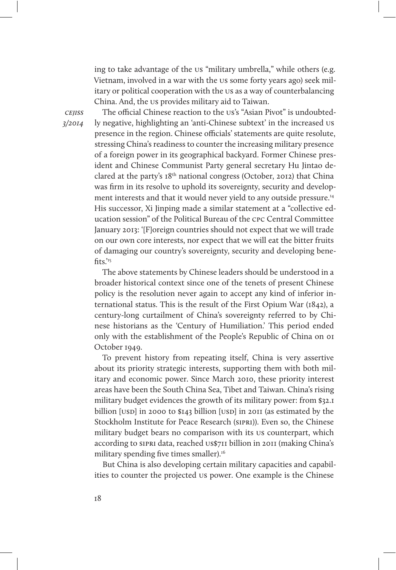ing to take advantage of the us "military umbrella," while others (e.g. Vietnam, involved in a war with the us some forty years ago) seek military or political cooperation with the us as a way of counterbalancing China. And, the us provides military aid to Taiwan.

**CEIISS** 3/2014

The official Chinese reaction to the us's "Asian Pivot" is undoubtedly negative, highlighting an 'anti-Chinese subtext' in the increased us presence in the region. Chinese officials' statements are quite resolute, stressing China's readiness to counter the increasing military presence of a foreign power in its geographical backyard. Former Chinese president and Chinese Communist Party general secretary Hu Jintao declared at the party's 18th national congress (October, 2012) that China was firm in its resolve to uphold its sovereignty, security and development interests and that it would never yield to any outside pressure.14 His successor, Xi Jinping made a similar statement at a "collective education session" of the Political Bureau of the cpc Central Committee January 2013: '[F]oreign countries should not expect that we will trade on our own core interests, nor expect that we will eat the bitter fruits of damaging our country's sovereignty, security and developing bene $fits'$ <sup>15</sup>

The above statements by Chinese leaders should be understood in a broader historical context since one of the tenets of present Chinese policy is the resolution never again to accept any kind of inferior international status. This is the result of the First Opium War (1842), a century-long curtailment of China's sovereignty referred to by Chinese historians as the 'Century of Humiliation.' This period ended only with the establishment of the People's Republic of China on 01 October 1949.

To prevent history from repeating itself, China is very assertive about its priority strategic interests, supporting them with both military and economic power. Since March 2010, these priority interest areas have been the South China Sea, Tibet and Taiwan. China's rising military budget evidences the growth of its military power: from \$32.1 billion [USD] in 2000 to  $$143$  billion [USD] in 2011 (as estimated by the Stockholm Institute for Peace Research (sipri)). Even so, the Chinese military budget bears no comparison with its us counterpart, which according to sipri data, reached us\$711 billion in 2011 (making China's military spending five times smaller).<sup>16</sup>

But China is also developing certain military capacities and capabilities to counter the projected us power. One example is the Chinese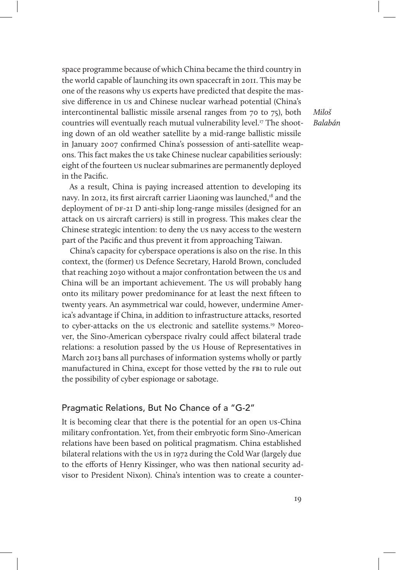space programme because of which China became the third country in the world capable of launching its own spacecraft in 2011. This may be one of the reasons why us experts have predicted that despite the massive difference in us and Chinese nuclear warhead potential (China's intercontinental ballistic missile arsenal ranges from 70 to 75), both countries will eventually reach mutual vulnerability level.<sup>17</sup> The shooting down of an old weather satellite by a mid-range ballistic missile in January 2007 confirmed China's possession of anti-satellite weapons. This fact makes the us take Chinese nuclear capabilities seriously: eight of the fourteen us nuclear submarines are permanently deployed in the Pacific.

As a result, China is paying increased attention to developing its navy. In 2012, its first aircraft carrier Liaoning was launched,<sup>18</sup> and the deployment of DF-2I D anti-ship long-range missiles (designed for an attack on us aircraft carriers) is still in progress. This makes clear the Chinese strategic intention: to deny the us navy access to the western part of the Pacific and thus prevent it from approaching Taiwan.

China's capacity for cyberspace operations is also on the rise. In this context, the (former) us Defence Secretary, Harold Brown, concluded that reaching 2030 without a major confrontation between the us and China will be an important achievement. The us will probably hang onto its military power predominance for at least the next fifteen to twenty years. An asymmetrical war could, however, undermine America's advantage if China, in addition to infrastructure attacks, resorted to cyber-attacks on the us electronic and satellite systems.<sup>19</sup> Moreover, the Sino-American cyberspace rivalry could affect bilateral trade relations: a resolution passed by the us House of Representatives in March 2013 bans all purchases of information systems wholly or partly manufactured in China, except for those vetted by the fbi to rule out the possibility of cyber espionage or sabotage.

# Pragmatic Relations, But No Chance of a "G-2"

It is becoming clear that there is the potential for an open us-China military confrontation. Yet, from their embryotic form Sino-American relations have been based on political pragmatism. China established bilateral relations with the us in 1972 during the Cold War (largely due to the efforts of Henry Kissinger, who was then national security advisor to President Nixon). China's intention was to create a counter-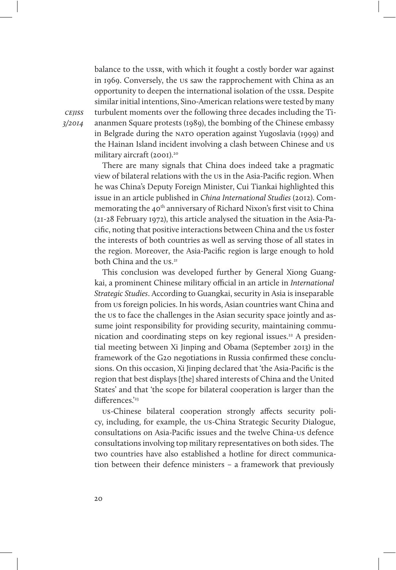balance to the ussr, with which it fought a costly border war against in 1969. Conversely, the us saw the rapprochement with China as an opportunity to deepen the international isolation of the ussr. Despite similar initial intentions, Sino-American relations were tested by many turbulent moments over the following three decades including the Tiananmen Square protests (1989), the bombing of the Chinese embassy in Belgrade during the NATO operation against Yugoslavia (1999) and the Hainan Island incident involving a clash between Chinese and us military aircraft (2001).<sup>20</sup>

There are many signals that China does indeed take a pragmatic view of bilateral relations with the us in the Asia-Pacific region. When he was China's Deputy Foreign Minister, Cui Tiankai highlighted this issue in an article published in China International Studies (2012). Commemorating the 40<sup>th</sup> anniversary of Richard Nixon's first visit to China (21-28 February 1972), this article analysed the situation in the Asia-Pacific, noting that positive interactions between China and the us foster the interests of both countries as well as serving those of all states in the region. Moreover, the Asia-Pacific region is large enough to hold both China and the us.<sup>21</sup>

This conclusion was developed further by General Xiong Guangkai, a prominent Chinese military official in an article in International Strategic Studies. According to Guangkai, security in Asia is inseparable from us foreign policies. In his words, Asian countries want China and the us to face the challenges in the Asian security space jointly and assume joint responsibility for providing security, maintaining communication and coordinating steps on key regional issues.<sup>22</sup> A presidential meeting between Xi Jinping and Obama (September 2013) in the framework of the G20 negotiations in Russia confirmed these conclusions. On this occasion, Xi Jinping declared that 'the Asia-Pacific is the region that best displays [the] shared interests of China and the United States' and that 'the scope for bilateral cooperation is larger than the differences.'<sup>23</sup>

us-Chinese bilateral cooperation strongly affects security policy, including, for example, the us-China Strategic Security Dialogue, consultations on Asia-Pacific issues and the twelve China-us defence consultations involving top military representatives on both sides. The two countries have also established a hotline for direct communication between their defence ministers – a framework that previously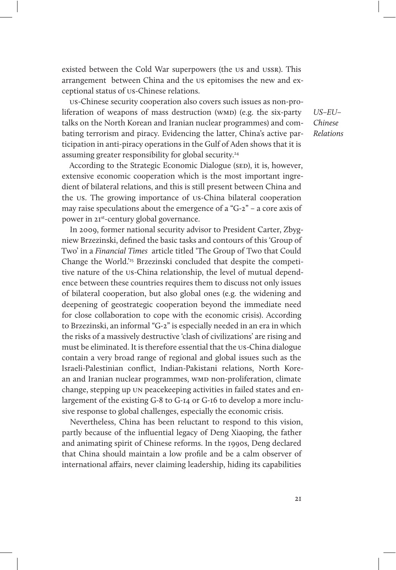existed between the Cold War superpowers (the us and ussr). This arrangement between China and the us epitomises the new and exceptional status of us-Chinese relations.

us-Chinese security cooperation also covers such issues as non-proliferation of weapons of mass destruction (WMD) (e.g. the six-party talks on the North Korean and Iranian nuclear programmes) and combating terrorism and piracy. Evidencing the latter, China's active participation in anti-piracy operations in the Gulf of Aden shows that it is assuming greater responsibility for global security.<sup>24</sup>

According to the Strategic Economic Dialogue (SED), it is, however, extensive economic cooperation which is the most important ingredient of bilateral relations, and this is still present between China and the us. The growing importance of us-China bilateral cooperation may raise speculations about the emergence of a "G-2" – a core axis of power in 21st-century global governance.

In 2009, former national security advisor to President Carter, Zbygniew Brzezinski, defined the basic tasks and contours of this 'Group of Two' in a Financial Times article titled 'The Group of Two that Could Change the World.'25 Brzezinski concluded that despite the competitive nature of the us-China relationship, the level of mutual dependence between these countries requires them to discuss not only issues of bilateral cooperation, but also global ones (e.g. the widening and deepening of geostrategic cooperation beyond the immediate need for close collaboration to cope with the economic crisis). According to Brzezinski, an informal "G-2" is especially needed in an era in which the risks of a massively destructive 'clash of civilizations' are rising and must be eliminated. It is therefore essential that the us-China dialogue contain a very broad range of regional and global issues such as the Israeli-Palestinian conflict, Indian-Pakistani relations, North Korean and Iranian nuclear programmes, wmp non-proliferation, climate change, stepping up un peacekeeping activities in failed states and enlargement of the existing G-8 to G-14 or G-16 to develop a more inclusive response to global challenges, especially the economic crisis.

Nevertheless, China has been reluctant to respond to this vision, partly because of the influential legacy of Deng Xiaoping, the father and animating spirit of Chinese reforms. In the 1990s, Deng declared that China should maintain a low profile and be a calm observer of international affairs, never claiming leadership, hiding its capabilities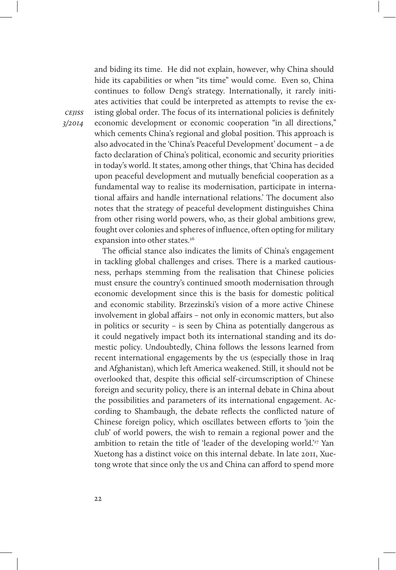and biding its time. He did not explain, however, why China should hide its capabilities or when "its time" would come. Even so, China continues to follow Deng's strategy. Internationally, it rarely initiates activities that could be interpreted as attempts to revise the existing global order. The focus of its international policies is definitely economic development or economic cooperation "in all directions," which cements China's regional and global position. This approach is also advocated in the 'China's Peaceful Development' document – a de facto declaration of China's political, economic and security priorities in today's world. It states, among other things, that 'China has decided upon peaceful development and mutually beneficial cooperation as a fundamental way to realise its modernisation, participate in international affairs and handle international relations.' The document also notes that the strategy of peaceful development distinguishes China from other rising world powers, who, as their global ambitions grew, fought over colonies and spheres of influence, often opting for military expansion into other states.<sup>26</sup>

The official stance also indicates the limits of China's engagement in tackling global challenges and crises. There is a marked cautiousness, perhaps stemming from the realisation that Chinese policies must ensure the country's continued smooth modernisation through economic development since this is the basis for domestic political and economic stability. Brzezinski's vision of a more active Chinese involvement in global affairs – not only in economic matters, but also in politics or security – is seen by China as potentially dangerous as it could negatively impact both its international standing and its domestic policy. Undoubtedly, China follows the lessons learned from recent international engagements by the us (especially those in Iraq and Afghanistan), which left America weakened. Still, it should not be overlooked that, despite this official self-circumscription of Chinese foreign and security policy, there is an internal debate in China about the possibilities and parameters of its international engagement. According to Shambaugh, the debate reflects the conflicted nature of Chinese foreign policy, which oscillates between efforts to 'join the club' of world powers, the wish to remain a regional power and the ambition to retain the title of 'leader of the developing world.'<sup>27</sup> Yan Xuetong has a distinct voice on this internal debate. In late 2011, Xuetong wrote that since only the us and China can afford to spend more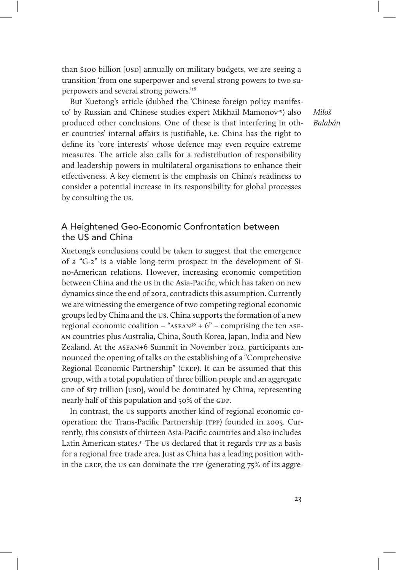than \$100 billion [USD] annually on military budgets, we are seeing a transition 'from one superpower and several strong powers to two superpowers and several strong powers.'28

But Xuetong's article (dubbed the 'Chinese foreign policy manifesto' by Russian and Chinese studies expert Mikhail Mamonov<sup>29</sup>) also produced other conclusions. One of these is that interfering in other countries' internal affairs is justifiable, i.e. China has the right to define its 'core interests' whose defence may even require extreme measures. The article also calls for a redistribution of responsibility and leadership powers in multilateral organisations to enhance their effectiveness. A key element is the emphasis on China's readiness to consider a potential increase in its responsibility for global processes by consulting the us.

# A Heightened Geo-Economic Confrontation between the US and China

Xuetong's conclusions could be taken to suggest that the emergence of a "G-2" is a viable long-term prospect in the development of Sino-American relations. However, increasing economic competition between China and the us in the Asia-Pacific, which has taken on new dynamics since the end of 2012, contradicts this assumption. Currently we are witnessing the emergence of two competing regional economic groups led by China and the us. China supports the formation of a new regional economic coalition – " $ASEAN<sup>30</sup> + 6"$  – comprising the ten ASEan countries plus Australia, China, South Korea, Japan, India and New Zealand. At the asean+6 Summit in November 2012, participants announced the opening of talks on the establishing of a "Comprehensive Regional Economic Partnership" (crep). It can be assumed that this group, with a total population of three billion people and an aggregate GDP of  $\gamma$  trillion [USD], would be dominated by China, representing nearly half of this population and 50% of the GDP.

In contrast, the us supports another kind of regional economic cooperation: the Trans-Pacific Partnership (TPP) founded in 2005. Currently, this consists of thirteen Asia-Pacific countries and also includes Latin American states.<sup>31</sup> The us declared that it regards TPP as a basis for a regional free trade area. Just as China has a leading position within the crep, the us can dominate the tpp (generating 75% of its aggre-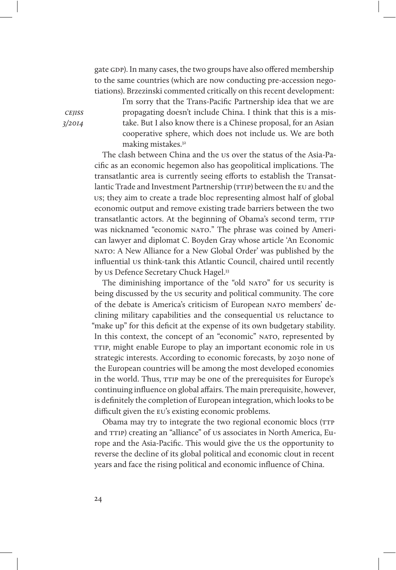gate gdp). In many cases, the two groups have also offered membership to the same countries (which are now conducting pre-accession negotiations). Brzezinski commented critically on this recent development:

I'm sorry that the Trans-Pacific Partnership idea that we are propagating doesn't include China. I think that this is a mistake. But I also know there is a Chinese proposal, for an Asian cooperative sphere, which does not include us. We are both making mistakes.<sup>32</sup>

The clash between China and the us over the status of the Asia-Pacific as an economic hegemon also has geopolitical implications. The transatlantic area is currently seeing efforts to establish the Transatlantic Trade and Investment Partnership (TTIP) between the EU and the us; they aim to create a trade bloc representing almost half of global economic output and remove existing trade barriers between the two transatlantic actors. At the beginning of Obama's second term, TTIP was nicknamed "economic NATO." The phrase was coined by American lawyer and diplomat C. Boyden Gray whose article 'An Economic nato: A New Alliance for a New Global Order' was published by the influential us think-tank this Atlantic Council, chaired until recently by us Defence Secretary Chuck Hagel.<sup>33</sup>

The diminishing importance of the "old NATO" for us security is being discussed by the us security and political community. The core of the debate is America's criticism of European nato members' declining military capabilities and the consequential us reluctance to "make up" for this deficit at the expense of its own budgetary stability. In this context, the concept of an "economic" NATO, represented by TTIP, might enable Europe to play an important economic role in us strategic interests. According to economic forecasts, by 2030 none of the European countries will be among the most developed economies in the world. Thus,  $TTIP$  may be one of the prerequisites for Europe's continuing influence on global affairs. The main prerequisite, however, is definitely the completion of European integration, which looks to be difficult given the EU's existing economic problems.

Obama may try to integrate the two regional economic blocs (TTP and TTIP) creating an "alliance" of us associates in North America, Europe and the Asia-Pacific. This would give the us the opportunity to reverse the decline of its global political and economic clout in recent years and face the rising political and economic influence of China.

**CEJISS** 3/2014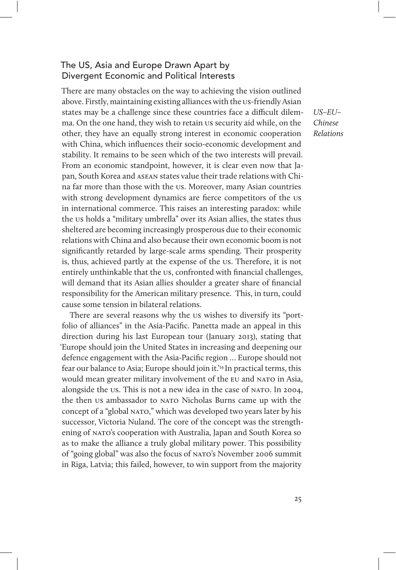# The US, Asia and Europe Drawn Apart by Divergent Economic and Political Interests

There are many obstacles on the way to achieving the vision outlined above. Firstly, maintaining existing alliances with the us-friendly Asian states may be a challenge since these countries face a difficult dilemma. On the one hand, they wish to retain us security aid while, on the other, they have an equally strong interest in economic cooperation with China, which influences their socio-economic development and stability. It remains to be seen which of the two interests will prevail. From an economic standpoint, however, it is clear even now that Japan, South Korea and asean states value their trade relations with China far more than those with the us. Moreover, many Asian countries with strong development dynamics are fierce competitors of the us in international commerce. This raises an interesting paradox: while the us holds a "military umbrella" over its Asian allies, the states thus sheltered are becoming increasingly prosperous due to their economic relations with China and also because their own economic boom is not significantly retarded by large-scale arms spending. Their prosperity is, thus, achieved partly at the expense of the us. Therefore, it is not entirely unthinkable that the us, confronted with financial challenges, will demand that its Asian allies shoulder a greater share of financial responsibility for the American military presence. This, in turn, could cause some tension in bilateral relations.

There are several reasons why the us wishes to diversify its "portfolio of alliances" in the Asia-Pacific. Panetta made an appeal in this direction during his last European tour (January 2013), stating that 'Europe should join the United States in increasing and deepening our defence engagement with the Asia-Pacific region … Europe should not fear our balance to Asia; Europe should join it.'34 In practical terms, this would mean greater military involvement of the EU and NATO in Asia, alongside the us. This is not a new idea in the case of NATO. In 2004, the then us ambassador to NATO Nicholas Burns came up with the concept of a "global NATO," which was developed two years later by his successor, Victoria Nuland. The core of the concept was the strengthening of nato's cooperation with Australia, Japan and South Korea so as to make the alliance a truly global military power. This possibility of "going global" was also the focus of nato's November 2006 summit in Riga, Latvia; this failed, however, to win support from the majority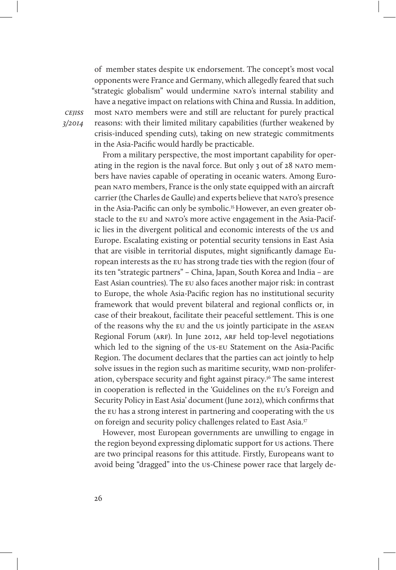of member states despite uk endorsement. The concept's most vocal opponents were France and Germany, which allegedly feared that such "strategic globalism" would undermine NATO's internal stability and have a negative impact on relations with China and Russia. In addition, most NATO members were and still are reluctant for purely practical reasons: with their limited military capabilities (further weakened by crisis-induced spending cuts), taking on new strategic commitments in the Asia-Pacific would hardly be practicable.

From a military perspective, the most important capability for operating in the region is the naval force. But only 3 out of 28 NATO members have navies capable of operating in oceanic waters. Among European nato members, France is the only state equipped with an aircraft carrier (the Charles de Gaulle) and experts believe that NATO's presence in the Asia-Pacific can only be symbolic.<sup>35</sup> However, an even greater obstacle to the EU and NATO's more active engagement in the Asia-Pacific lies in the divergent political and economic interests of the us and Europe. Escalating existing or potential security tensions in East Asia that are visible in territorial disputes, might significantly damage European interests as the eu has strong trade ties with the region (four of its ten "strategic partners" – China, Japan, South Korea and India – are East Asian countries). The eu also faces another major risk: in contrast to Europe, the whole Asia-Pacific region has no institutional security framework that would prevent bilateral and regional conflicts or, in case of their breakout, facilitate their peaceful settlement. This is one of the reasons why the eu and the us jointly participate in the asean Regional Forum (ARF). In June 2012, ARF held top-level negotiations which led to the signing of the us-eu Statement on the Asia-Pacific Region. The document declares that the parties can act jointly to help solve issues in the region such as maritime security, wmp non-proliferation, cyberspace security and fight against piracy.36 The same interest in cooperation is reflected in the 'Guidelines on the eu's Foreign and Security Policy in East Asia' document (June 2012), which confirms that the eu has a strong interest in partnering and cooperating with the us on foreign and security policy challenges related to East Asia.37

However, most European governments are unwilling to engage in the region beyond expressing diplomatic support for us actions. There are two principal reasons for this attitude. Firstly, Europeans want to avoid being "dragged" into the us-Chinese power race that largely de-

cejiss 3/2014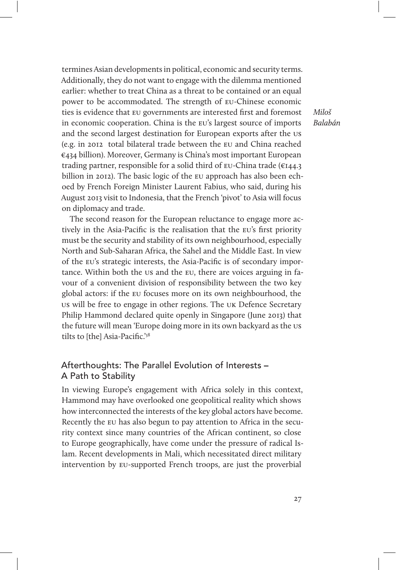termines Asian developments in political, economic and security terms. Additionally, they do not want to engage with the dilemma mentioned earlier: whether to treat China as a threat to be contained or an equal power to be accommodated. The strength of eu-Chinese economic ties is evidence that eu governments are interested first and foremost in economic cooperation. China is the eu's largest source of imports and the second largest destination for European exports after the us (e.g. in 2012 total bilateral trade between the eu and China reached €434 billion). Moreover, Germany is China's most important European trading partner, responsible for a solid third of eu-China trade (€144.3 billion in 2012). The basic logic of the eu approach has also been echoed by French Foreign Minister Laurent Fabius, who said, during his August 2013 visit to Indonesia, that the French 'pivot' to Asia will focus on diplomacy and trade.

The second reason for the European reluctance to engage more actively in the Asia-Pacific is the realisation that the eu's first priority must be the security and stability of its own neighbourhood, especially North and Sub-Saharan Africa, the Sahel and the Middle East. In view of the eu's strategic interests, the Asia-Pacific is of secondary importance. Within both the us and the eu, there are voices arguing in favour of a convenient division of responsibility between the two key global actors: if the eu focuses more on its own neighbourhood, the us will be free to engage in other regions. The uk Defence Secretary Philip Hammond declared quite openly in Singapore (June 2013) that the future will mean 'Europe doing more in its own backyard as the us tilts to [the] Asia-Pacific.'38

# Afterthoughts: The Parallel Evolution of Interests – A Path to Stability

In viewing Europe's engagement with Africa solely in this context, Hammond may have overlooked one geopolitical reality which shows how interconnected the interests of the key global actors have become. Recently the eu has also begun to pay attention to Africa in the security context since many countries of the African continent, so close to Europe geographically, have come under the pressure of radical Islam. Recent developments in Mali, which necessitated direct military intervention by eu-supported French troops, are just the proverbial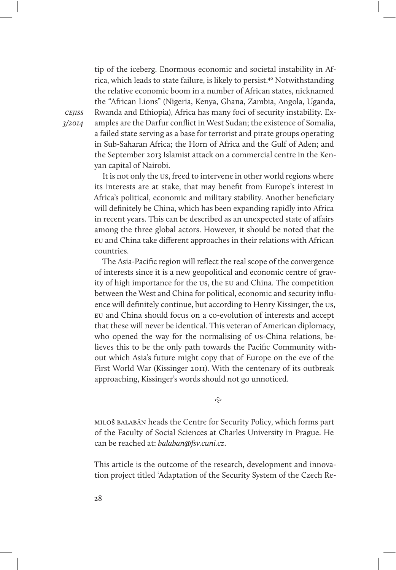tip of the iceberg. Enormous economic and societal instability in Africa, which leads to state failure, is likely to persist.<sup>40</sup> Notwithstanding the relative economic boom in a number of African states, nicknamed the "African Lions" (Nigeria, Kenya, Ghana, Zambia, Angola, Uganda, Rwanda and Ethiopia), Africa has many foci of security instability. Examples are the Darfur conflict in West Sudan; the existence of Somalia, a failed state serving as a base for terrorist and pirate groups operating in Sub-Saharan Africa; the Horn of Africa and the Gulf of Aden; and the September 2013 Islamist attack on a commercial centre in the Kenyan capital of Nairobi.

It is not only the us, freed to intervene in other world regions where its interests are at stake, that may benefit from Europe's interest in Africa's political, economic and military stability. Another beneficiary will definitely be China, which has been expanding rapidly into Africa in recent years. This can be described as an unexpected state of affairs among the three global actors. However, it should be noted that the eu and China take different approaches in their relations with African countries.

The Asia-Pacific region will reflect the real scope of the convergence of interests since it is a new geopolitical and economic centre of gravity of high importance for the us, the eu and China. The competition between the West and China for political, economic and security influence will definitely continue, but according to Henry Kissinger, the us, eu and China should focus on a co-evolution of interests and accept that these will never be identical. This veteran of American diplomacy, who opened the way for the normalising of us-China relations, believes this to be the only path towards the Pacific Community without which Asia's future might copy that of Europe on the eve of the First World War (Kissinger 2011). With the centenary of its outbreak approaching, Kissinger's words should not go unnoticed.

 $\tilde{\sim}$ 

miloš balabán heads the Centre for Security Policy, which forms part of the Faculty of Social Sciences at Charles University in Prague. He can be reached at: balaban@fsv.cuni.cz.

This article is the outcome of the research, development and innovation project titled 'Adaptation of the Security System of the Czech Re-

cejiss 3/2014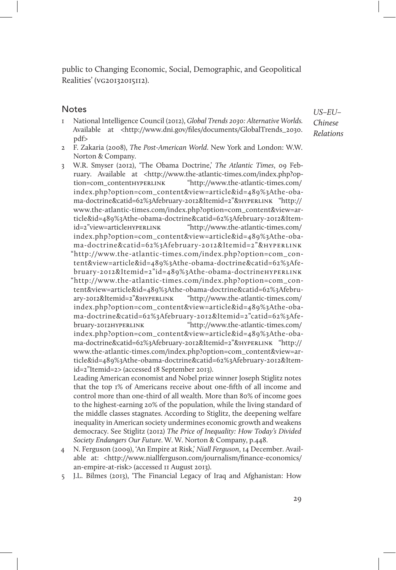public to Changing Economic, Social, Demographic, and Geopolitical Realities' (vg20132015112).

#### **Notes**

- 1 National Intelligence Council (2012), Global Trends 2030: Alternative Worlds. Available at <http://www.dni.gov/files/documents/GlobalTrends\_2030. pdf>
- 2 F. Zakaria (2008), The Post-American World. New York and London: W.W. Norton & Company.
- 3 W.R. Smyser (2012), 'The Obama Doctrine,' The Atlantic Times, 09 February. Available at <http://www.the-atlantic-times.com/index.php?option=com\_contenthyperlink "http://www.the-atlantic-times.com/ index.php?option=com\_content&view=article&id=489%3Athe-obama-doctrine&catid=62%3Afebruary-2012&Itemid=2"&hyperlink "http:// www.the-atlantic-times.com/index.php?option=com\_content&view=article&id=489%3Athe-obama-doctrine&catid=62%3Afebruary-2012&Itemid=2"view=articlehyperlink "http://www.the-atlantic-times.com/ index.php?option=com\_content&view=article&id=489%3Athe-obama-doctrine&catid=62%3Afebruary-2012&Itemid=2"&hyperlink "http://www.the-atlantic-times.com/index.php?option=com\_content&view=article&id=489%3Athe-obama-doctrine&catid=62%3Afebruary-2012&Itemid=2"id=489%3Athe-obama-doctrinehyperlink "http://www.the-atlantic-times.com/index.php?option=com\_content&view=article&id=489%3Athe-obama-doctrine&catid=62%3Afebruary-2012&Itemid=2"&hyperlink "http://www.the-atlantic-times.com/ index.php?option=com\_content&view=article&id=489%3Athe-obama-doctrine&catid=62%3Afebruary-2012&Itemid=2"catid=62%3Afebruary-2012hyperlink "http://www.the-atlantic-times.com/ index.php?option=com\_content&view=article&id=489%3Athe-obama-doctrine&catid=62%3Afebruary-2012&Itemid=2"&hyperlink "http:// www.the-atlantic-times.com/index.php?option=com\_content&view=article&id=489%3Athe-obama-doctrine&catid=62%3Afebruary-2012&Itemid=2"Itemid=2> (accessed 18 September 2013).

Leading American economist and Nobel prize winner Joseph Stiglitz notes that the top 1% of Americans receive about one-fifth of all income and control more than one-third of all wealth. More than 80% of income goes to the highest-earning 20% of the population, while the living standard of the middle classes stagnates. According to Stiglitz, the deepening welfare inequality in American society undermines economic growth and weakens democracy. See Stiglitz (2012) The Price of Inequality: How Today's Divided Society Endangers Our Future. W. W. Norton & Company, p.448.

- 4 N. Ferguson (2009), 'An Empire at Risk,' Niall Ferguson, 14 December. Available at: <http://www.niallferguson.com/journalism/finance-economics/ an-empire-at-risk> (accessed 11 August 2013).
- 5 J.L. Bilmes (2013), 'The Financial Legacy of Iraq and Afghanistan: How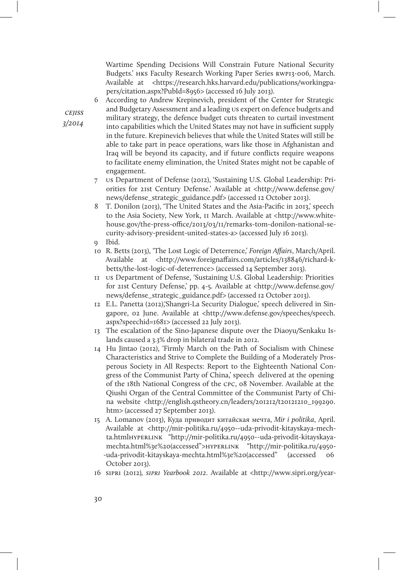Wartime Spending Decisions Will Constrain Future National Security Budgets.' HKS Faculty Research Working Paper Series RWP13-006, March. Available at <https://research.hks.harvard.edu/publications/workingpapers/citation.aspx?PubId=8956> (accessed 16 July 2013).

6 According to Andrew Krepinevich, president of the Center for Strategic and Budgetary Assessment and a leading us expert on defence budgets and military strategy, the defence budget cuts threaten to curtail investment into capabilities which the United States may not have in sufficient supply in the future. Krepinevich believes that while the United States will still be able to take part in peace operations, wars like those in Afghanistan and Iraq will be beyond its capacity, and if future conflicts require weapons to facilitate enemy elimination, the United States might not be capable of engagement.

- 7 us Department of Defense (2012), 'Sustaining U.S. Global Leadership: Priorities for 21st Century Defense.' Available at <http://www.defense.gov/ news/defense\_strategic\_guidance.pdf> (accessed 12 October 2013).
- 8 T. Donilon (2013), 'The United States and the Asia-Pacific in 2013,' speech to the Asia Society, New York, 11 March. Available at <http://www.whitehouse.gov/the-press-office/2013/03/11/remarks-tom-donilon-national-security-advisory-president-united-states-a> (accessed July 16 2013).
- 9 Ibid.
- 10 R. Betts (2013), 'The Lost Logic of Deterrence,' Foreign Affairs, March/April. Available at <http://www.foreignaffairs.com/articles/138846/richard-kbetts/the-lost-logic-of-deterrence> (accessed 14 September 2013).
- 11 us Department of Defense, 'Sustaining U.S. Global Leadership: Priorities for 21st Century Defense,' pp. 4-5. Available at <http://www.defense.gov/ news/defense\_strategic\_guidance.pdf> (accessed 12 October 2013).
- 12 E.L. Panetta (2012),'Shangri-La Security Dialogue,' speech delivered in Singapore, 02 June. Available at <http://www.defense.gov/speeches/speech. aspx?speechid=1681> (accessed 22 July 2013).
- 13 The escalation of the Sino-Japanese dispute over the Diaoyu/Senkaku Islands caused a 3.3% drop in bilateral trade in 2012.
- 14 Hu Jintao (2012), 'Firmly March on the Path of Socialism with Chinese Characteristics and Strive to Complete the Building of a Moderately Prosperous Society in All Respects: Report to the Eighteenth National Congress of the Communist Party of China,' speech delivered at the opening of the 18th National Congress of the cpc, 08 November. Available at the Qiushi Organ of the Central Committee of the Communist Party of China website <http://english.qstheory.cn/leaders/201212/t20121210\_199290. htm> (accessed 27 September 2013).
- 15 A. Lomanov (2013), Куда приводит китайская мечта, Mir i politika, April. Available at <http://mir-politika.ru/4950--uda-privodit-kitayskaya-mechta.htmlhyperlink "http://mir-politika.ru/4950--uda-privodit-kitayskayamechta.html%3e%20(accessed">hyperlink "http://mir-politika.ru/4950- -uda-privodit-kitayskaya-mechta.html%3e%20(accessed" (accessed 06 October 2013).
- 16 sipri (2012), sipri Yearbook 2012. Available at <http://www.sipri.org/year-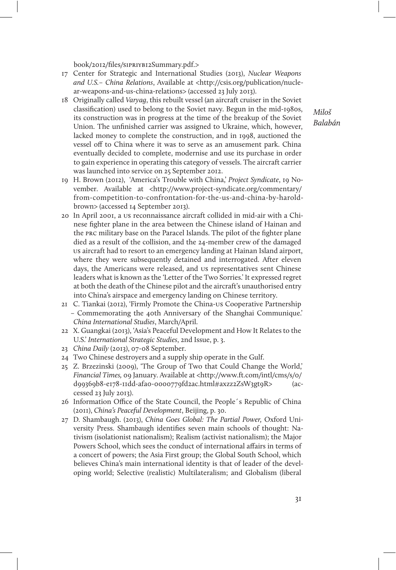book/2012/files/sipriyb12Summary.pdf.>

- 17 Center for Strategic and International Studies (2013), Nuclear Weapons and U.S.– China Relations, Available at <http://csis.org/publication/nuclear-weapons-and-us-china-relations> (accessed 23 July 2013).
- 18 Originally called Varyag, this rebuilt vessel (an aircraft cruiser in the Soviet classification) used to belong to the Soviet navy. Begun in the mid-1980s, its construction was in progress at the time of the breakup of the Soviet Union. The unfinished carrier was assigned to Ukraine, which, however, lacked money to complete the construction, and in 1998, auctioned the vessel off to China where it was to serve as an amusement park. China eventually decided to complete, modernise and use its purchase in order to gain experience in operating this category of vessels. The aircraft carrier was launched into service on 25 September 2012.
- 19 H. Brown (2012), 'America's Trouble with China,' Project Syndicate, 19 November. Available at <http://www.project-syndicate.org/commentary/ from-competition-to-confrontation-for-the-us-and-china-by-haroldbrown> (accessed 14 September 2013).
- 20 In April 2001, a us reconnaissance aircraft collided in mid-air with a Chinese fighter plane in the area between the Chinese island of Hainan and the prc military base on the Paracel Islands. The pilot of the fighter plane died as a result of the collision, and the 24-member crew of the damaged us aircraft had to resort to an emergency landing at Hainan Island airport, where they were subsequently detained and interrogated. After eleven days, the Americans were released, and us representatives sent Chinese leaders what is known as the 'Letter of the Two Sorries.' It expressed regret at both the death of the Chinese pilot and the aircraft's unauthorised entry into China's airspace and emergency landing on Chinese territory.
- 21 C. Tiankai (2012), 'Firmly Promote the China-us Cooperative Partnership – Commemorating the 40th Anniversary of the Shanghai Communique.' China International Studies, March/April.
- 22 X. Guangkai (2013), 'Asia's Peaceful Development and How It Relates to the U.S.' International Strategic Studies, 2nd Issue, p. 3.
- 23 China Daily (2013), 07-08 September.
- 24 Two Chinese destroyers and a supply ship operate in the Gulf.
- 25 Z. Brzezinski (2009), 'The Group of Two that Could Change the World,' Financial Times, 09 January. Available at <http://www.ft.com/intl/cms/s/0/ d99369b8-e178-11dd-afa0-0000779fd2ac.html#axzz2ZsW3gt9R> (accessed 23 July 2013).
- 26 Information Office of the State Council, the People's Republic of China (2011), China's Peaceful Development, Beijing, p. 30.
- 27 D. Shambaugh. (2013), China Goes Global: The Partial Power, Oxford University Press. Shambaugh identifies seven main schools of thought: Nativism (isolationist nationalism); Realism (activist nationalism); the Major Powers School, which sees the conduct of international affairs in terms of a concert of powers; the Asia First group; the Global South School, which believes China's main international identity is that of leader of the developing world; Selective (realistic) Multilateralism; and Globalism (liberal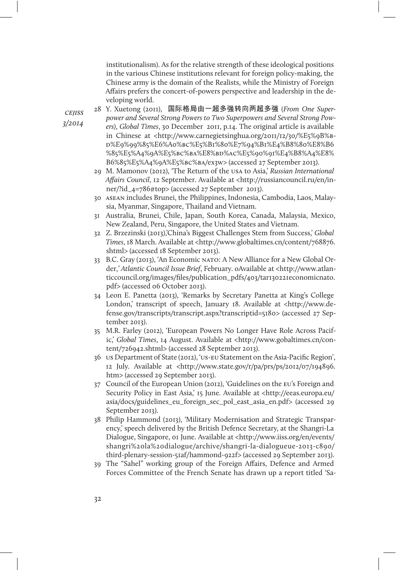institutionalism). As for the relative strength of these ideological positions in the various Chinese institutions relevant for foreign policy-making, the Chinese army is the domain of the Realists, while the Ministry of Foreign Affairs prefers the concert-of-powers perspective and leadership in the developing world.

- 28 Y. Xuetong (2011), 国际格局由一超多强转向两超多强 (From One Superpower and Several Strong Powers to Two Superpowers and Several Strong Powers), Global Times, 30 December 2011, p.14. The original article is available in Chinese at <http://www.carnegietsinghua.org/2011/12/30/%E5%9B%bd%E9%99%85%E6%A0%bc%E5%B1%80%E7%94%B1%E4%B8%80%E8%B6 %85%E5%A4%9A%E5%bc%ba%E8%bd%ac%E5%90%91%E4%B8%A4%E8% B6%85%E5%A4%9A%E5%bc%ba/ex3w> (accessed 27 September 2013).
- 29 M. Mamonov (2012), 'The Return of the usa to Asia,' Russian International Affairs Council, 12 September. Available at <http://russiancouncil.ru/en/inner/?id\_4=786#top> (accessed 27 September 2013).
- 30 asean includes Brunei, the Philippines, Indonesia, Cambodia, Laos, Malaysia, Myanmar, Singapore, Thailand and Vietnam.
- 31 Australia, Brunei, Chile, Japan, South Korea, Canada, Malaysia, Mexico, New Zealand, Peru, Singapore, the United States and Vietnam.
- 32 Z. Brzezinski (2013),'China's Biggest Challenges Stem from Success,' Global Times, 18 March. Available at <http://www.globaltimes.cn/content/768876. shtml> (accessed 18 September 2013).
- 33 B.C. Gray (2013), 'An Economic nato: A New Alliance for a New Global Order,' Atlantic Council Issue Brief, February. oAvailable at <http://www.atlanticcouncil.org/images/files/publication\_pdfs/403/tar130221economicnato. pdf> (accessed 06 October 2013).
- 34 Leon E. Panetta (2013), 'Remarks by Secretary Panetta at King's College London,' transcript of speech, January 18. Available at <http://www.defense.gov/transcripts/transcript.aspx?transcriptid=5180> (accessed 27 September 2013).
- 35 M.R. Farley (2012), 'European Powers No Longer Have Role Across Pacific,' Global Times, 14 August. Available at <http://www.gobaltimes.cn/content/726942.shtml> (accessed 28 September 2013).
- 36 us Department of State (2012), 'us-eu Statement on the Asia-Pacific Region', 12 July. Available at <http://www.state.gov/r/pa/prs/ps/2012/07/194896. htm> (accessed 29 September 2013).
- 37 Council of the European Union (2012), 'Guidelines on the eu's Foreign and Security Policy in East Asia,' 15 June. Available at <http://eeas.europa.eu/ asia/docs/guidelines\_eu\_foreign\_sec\_pol\_east\_asia\_en.pdf> (accessed 29 September 2013).
- 38 Philip Hammond (2013), 'Military Modernisation and Strategic Transparency,' speech delivered by the British Defence Secretary, at the Shangri-La Dialogue, Singapore, 01 June. Available at <http://www.iiss.org/en/events/ shangri%20la%20dialogue/archive/shangri-la-dialogueue-2013-c890/ third-plenary-session-51af/hammond-922f> (accessed 29 September 2013).
- 39 The "Sahel" working group of the Foreign Affairs, Defence and Armed Forces Committee of the French Senate has drawn up a report titled 'Sa-